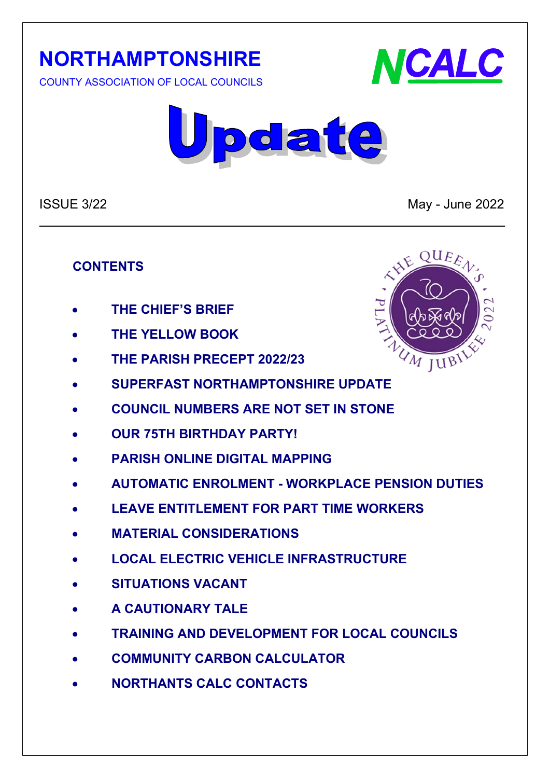# **NORTHAMPTONSHIRE**

COUNTY ASSOCIATION OF LOCAL COUNCILS





ISSUE 3/22 May - June 2022

#### **CONTENTS**

- **THE CHIEF'S BRIEF**
- **THE YELLOW BOOK**
- **THE PARISH PRECEPT 2022/23**
- **SUPERFAST NORTHAMPTONSHIRE UPDATE**
- **COUNCIL NUMBERS ARE NOT SET IN STONE**
- **OUR 75TH BIRTHDAY PARTY!**
- **PARISH ONLINE DIGITAL MAPPING**
- **AUTOMATIC ENROLMENT - WORKPLACE PENSION DUTIES**
- **LEAVE ENTITLEMENT FOR PART TIME WORKERS**
- **MATERIAL CONSIDERATIONS**
- **LOCAL ELECTRIC VEHICLE INFRASTRUCTURE**
- **SITUATIONS VACANT**
- **A CAUTIONARY TALE**
- **TRAINING AND DEVELOPMENT FOR LOCAL COUNCILS**
- **COMMUNITY CARBON CALCULATOR**
- **NORTHANTS CALC CONTACTS**

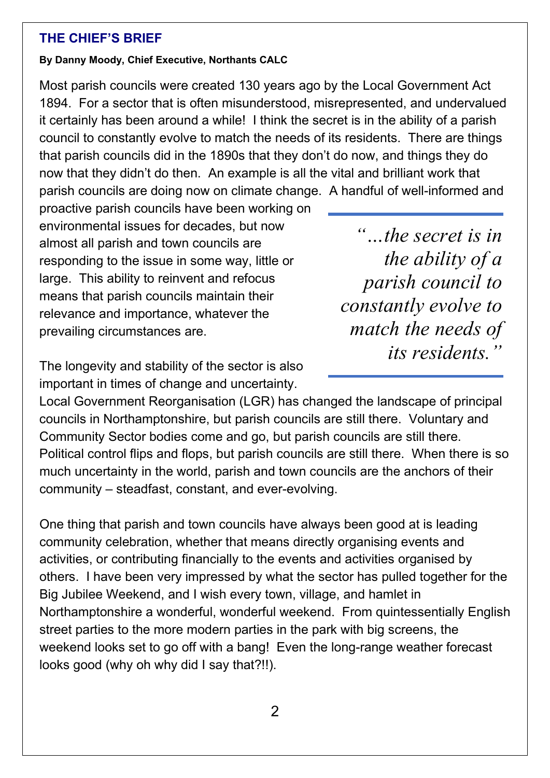#### **THE CHIEF'S BRIEF**

#### **By Danny Moody, Chief Executive, Northants CALC**

Most parish councils were created 130 years ago by the Local Government Act 1894. For a sector that is often misunderstood, misrepresented, and undervalued it certainly has been around a while! I think the secret is in the ability of a parish council to constantly evolve to match the needs of its residents. There are things that parish councils did in the 1890s that they don't do now, and things they do now that they didn't do then. An example is all the vital and brilliant work that parish councils are doing now on climate change. A handful of well-informed and

proactive parish councils have been working on environmental issues for decades, but now almost all parish and town councils are responding to the issue in some way, little or large. This ability to reinvent and refocus means that parish councils maintain their relevance and importance, whatever the prevailing circumstances are.

*"…the secret is in the ability of a parish council to constantly evolve to match the needs of its residents."*

The longevity and stability of the sector is also important in times of change and uncertainty.

Local Government Reorganisation (LGR) has changed the landscape of principal councils in Northamptonshire, but parish councils are still there. Voluntary and Community Sector bodies come and go, but parish councils are still there. Political control flips and flops, but parish councils are still there. When there is so much uncertainty in the world, parish and town councils are the anchors of their community – steadfast, constant, and ever-evolving.

One thing that parish and town councils have always been good at is leading community celebration, whether that means directly organising events and activities, or contributing financially to the events and activities organised by others. I have been very impressed by what the sector has pulled together for the Big Jubilee Weekend, and I wish every town, village, and hamlet in Northamptonshire a wonderful, wonderful weekend. From quintessentially English street parties to the more modern parties in the park with big screens, the weekend looks set to go off with a bang! Even the long-range weather forecast looks good (why oh why did I say that?!!).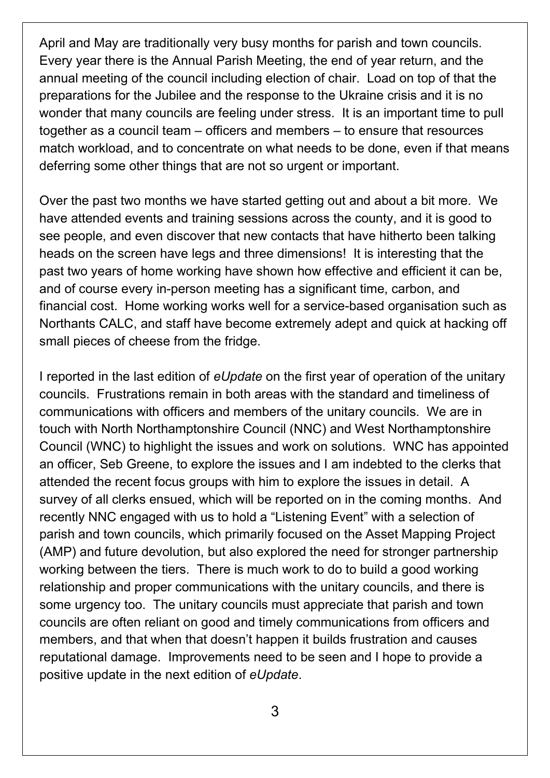April and May are traditionally very busy months for parish and town councils. Every year there is the Annual Parish Meeting, the end of year return, and the annual meeting of the council including election of chair. Load on top of that the preparations for the Jubilee and the response to the Ukraine crisis and it is no wonder that many councils are feeling under stress. It is an important time to pull together as a council team – officers and members – to ensure that resources match workload, and to concentrate on what needs to be done, even if that means deferring some other things that are not so urgent or important.

Over the past two months we have started getting out and about a bit more. We have attended events and training sessions across the county, and it is good to see people, and even discover that new contacts that have hitherto been talking heads on the screen have legs and three dimensions! It is interesting that the past two years of home working have shown how effective and efficient it can be, and of course every in-person meeting has a significant time, carbon, and financial cost. Home working works well for a service-based organisation such as Northants CALC, and staff have become extremely adept and quick at hacking off small pieces of cheese from the fridge.

I reported in the last edition of *eUpdate* on the first year of operation of the unitary councils. Frustrations remain in both areas with the standard and timeliness of communications with officers and members of the unitary councils. We are in touch with North Northamptonshire Council (NNC) and West Northamptonshire Council (WNC) to highlight the issues and work on solutions. WNC has appointed an officer, Seb Greene, to explore the issues and I am indebted to the clerks that attended the recent focus groups with him to explore the issues in detail. A survey of all clerks ensued, which will be reported on in the coming months. And recently NNC engaged with us to hold a "Listening Event" with a selection of parish and town councils, which primarily focused on the Asset Mapping Project (AMP) and future devolution, but also explored the need for stronger partnership working between the tiers. There is much work to do to build a good working relationship and proper communications with the unitary councils, and there is some urgency too. The unitary councils must appreciate that parish and town councils are often reliant on good and timely communications from officers and members, and that when that doesn't happen it builds frustration and causes reputational damage. Improvements need to be seen and I hope to provide a positive update in the next edition of *eUpdate*.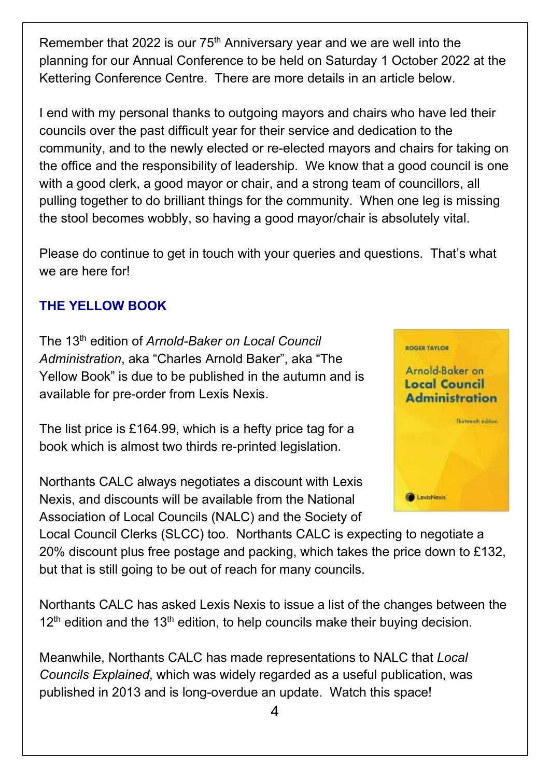Remember that 2022 is our  $75<sup>th</sup>$  Anniversary year and we are well into the planning for our Annual Conference to be held on Saturday 1 October 2022 at the Kettering Conference Centre. There are more details in an article below.

I end with my personal thanks to outgoing mayors and chairs who have led their councils over the past difficult year for their service and dedication to the community, and to the newly elected or re-elected mayors and chairs for taking on the office and the responsibility of leadership. We know that a good council is one with a good clerk, a good mayor or chair, and a strong team of councillors, all pulling together to do brilliant things for the community. When one leg is missing the stool becomes wobbly, so having a good mayor/chair is absolutely vital.

Please do continue to get in touch with your queries and questions. That's what we are here for!

# **THE YELLOW BOOK**

The 13th edition of *Arnold-Baker on Local Council Administration*, aka "Charles Arnold Baker", aka "The Yellow Book" is due to be published in the autumn and is available for pre-order from Lexis Nexis.

The list price is £164.99, which is a hefty price tag for a book which is almost two thirds re-printed legislation.

Northants CALC always negotiates a discount with Lexis Nexis, and discounts will be available from the National Association of Local Councils (NALC) and the Society of



Local Council Clerks (SLCC) too. Northants CALC is expecting to negotiate a 20% discount plus free postage and packing, which takes the price down to £132, but that is still going to be out of reach for many councils.

Northants CALC has asked Lexis Nexis to issue a list of the changes between the  $12<sup>th</sup>$  edition and the 13<sup>th</sup> edition, to help councils make their buying decision.

Meanwhile, Northants CALC has made representations to NALC that *Local Councils Explained*, which was widely regarded as a useful publication, was published in 2013 and is long-overdue an update. Watch this space!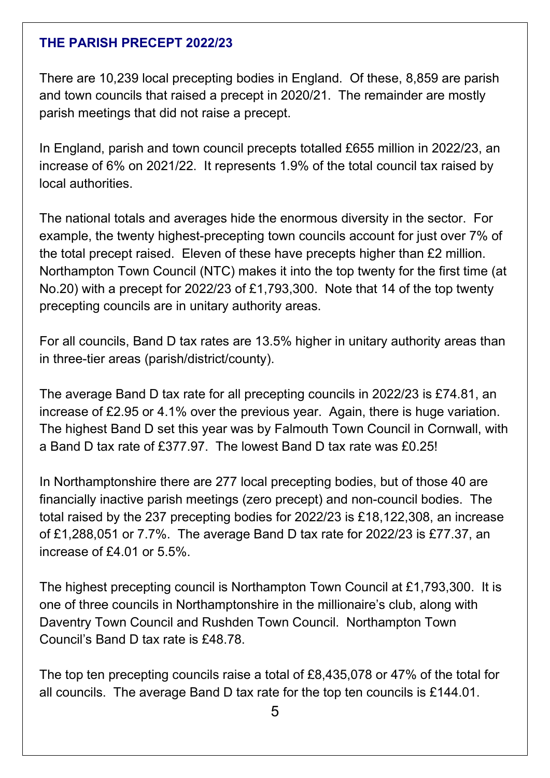#### **THE PARISH PRECEPT 2022/23**

There are 10,239 local precepting bodies in England. Of these, 8,859 are parish and town councils that raised a precept in 2020/21. The remainder are mostly parish meetings that did not raise a precept.

In England, parish and town council precepts totalled £655 million in 2022/23, an increase of 6% on 2021/22. It represents 1.9% of the total council tax raised by local authorities.

The national totals and averages hide the enormous diversity in the sector. For example, the twenty highest-precepting town councils account for just over 7% of the total precept raised. Eleven of these have precepts higher than £2 million. Northampton Town Council (NTC) makes it into the top twenty for the first time (at No.20) with a precept for 2022/23 of £1,793,300. Note that 14 of the top twenty precepting councils are in unitary authority areas.

For all councils, Band D tax rates are 13.5% higher in unitary authority areas than in three-tier areas (parish/district/county).

The average Band D tax rate for all precepting councils in 2022/23 is £74.81, an increase of £2.95 or 4.1% over the previous year. Again, there is huge variation. The highest Band D set this year was by Falmouth Town Council in Cornwall, with a Band D tax rate of £377.97. The lowest Band D tax rate was £0.25!

In Northamptonshire there are 277 local precepting bodies, but of those 40 are financially inactive parish meetings (zero precept) and non-council bodies. The total raised by the 237 precepting bodies for 2022/23 is £18,122,308, an increase of £1,288,051 or 7.7%. The average Band D tax rate for 2022/23 is £77.37, an increase of £4.01 or 5.5%.

The highest precepting council is Northampton Town Council at £1,793,300. It is one of three councils in Northamptonshire in the millionaire's club, along with Daventry Town Council and Rushden Town Council. Northampton Town Council's Band D tax rate is £48.78.

The top ten precepting councils raise a total of £8,435,078 or 47% of the total for all councils. The average Band D tax rate for the top ten councils is £144.01.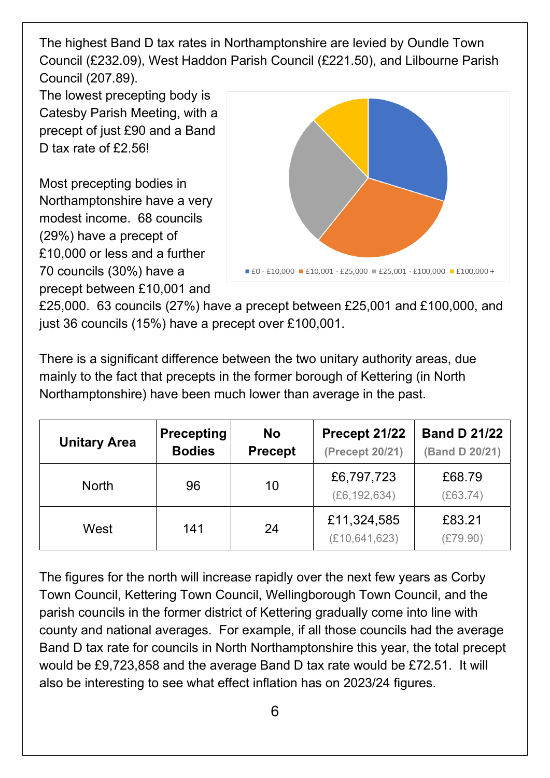The highest Band D tax rates in Northamptonshire are levied by Oundle Town Council (£232.09), West Haddon Parish Council (£221.50), and Lilbourne Parish Council (207.89).

The lowest precepting body is Catesby Parish Meeting, with a precept of just £90 and a Band D tax rate of £2.56!

Most precepting bodies in Northamptonshire have a very modest income. 68 councils (29%) have a precept of £10,000 or less and a further 70 councils (30%) have a precept between £10,001 and



£25,000. 63 councils (27%) have a precept between £25,001 and £100,000, and just 36 councils (15%) have a precept over £100,001.

There is a significant difference between the two unitary authority areas, due mainly to the fact that precepts in the former borough of Kettering (in North Northamptonshire) have been much lower than average in the past.

| <b>Unitary Area</b> | <b>Precepting</b><br><b>Bodies</b> | <b>No</b><br><b>Precept</b> | Precept 21/22<br>(Precept 20/21) | <b>Band D 21/22</b><br>(Band D 20/21) |
|---------------------|------------------------------------|-----------------------------|----------------------------------|---------------------------------------|
| <b>North</b>        | 96                                 | 10                          | £6,797,723<br>(E6, 192, 634)     | £68.79<br>(E63.74)                    |
| West                | 141                                | 24                          | £11,324,585<br>(E10, 641, 623)   | £83.21<br>(E79.90)                    |

The figures for the north will increase rapidly over the next few years as Corby Town Council, Kettering Town Council, Wellingborough Town Council, and the parish councils in the former district of Kettering gradually come into line with county and national averages. For example, if all those councils had the average Band D tax rate for councils in North Northamptonshire this year, the total precept would be £9,723,858 and the average Band D tax rate would be £72.51. It will also be interesting to see what effect inflation has on 2023/24 figures.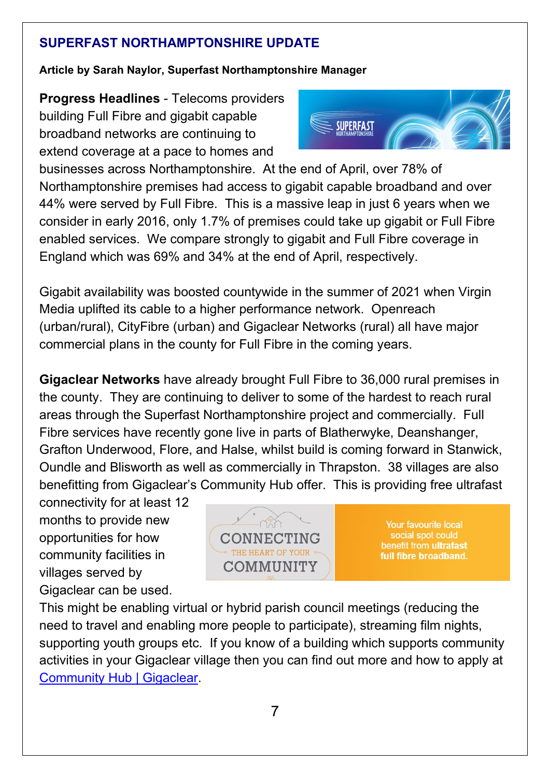#### **SUPERFAST NORTHAMPTONSHIRE UPDATE**

#### **Article by Sarah Naylor, Superfast Northamptonshire Manager**

**Progress Headlines** - Telecoms providers building Full Fibre and gigabit capable broadband networks are continuing to extend coverage at a pace to homes and



businesses across Northamptonshire. At the end of April, over 78% of Northamptonshire premises had access to gigabit capable broadband and over 44% were served by Full Fibre. This is a massive leap in just 6 years when we consider in early 2016, only 1.7% of premises could take up gigabit or Full Fibre enabled services. We compare strongly to gigabit and Full Fibre coverage in England which was 69% and 34% at the end of April, respectively.

Gigabit availability was boosted countywide in the summer of 2021 when Virgin Media uplifted its cable to a higher performance network. Openreach (urban/rural), CityFibre (urban) and Gigaclear Networks (rural) all have major commercial plans in the county for Full Fibre in the coming years.

**Gigaclear Networks** have already brought Full Fibre to 36,000 rural premises in the county. They are continuing to deliver to some of the hardest to reach rural areas through the Superfast Northamptonshire project and commercially. Full Fibre services have recently gone live in parts of Blatherwyke, Deanshanger, Grafton Underwood, Flore, and Halse, whilst build is coming forward in Stanwick, Oundle and Blisworth as well as commercially in Thrapston. 38 villages are also benefitting from Gigaclear's Community Hub offer. This is providing free ultrafast

connectivity for at least 12 months to provide new opportunities for how community facilities in villages served by Gigaclear can be used.



Your favourite local social spot could benefit from ultrafast full fibre broadband.

This might be enabling virtual or hybrid parish council meetings (reducing the need to travel and enabling more people to participate), streaming film nights, supporting youth groups etc. If you know of a building which supports community activities in your Gigaclear village then you can find out more and how to apply at [Community Hub | Gigaclear.](https://www.gigaclear.com/community-hub?utm_source=adwords&utm_term=&utm_campaign=Keyword+Mining&utm_medium=ppc&hsa_ver=3&hsa_kw=&hsa_src=g&hsa_cam=1446581929&hsa_net=adwords&hsa_acc=9558590911&hsa_mt=&hsa_grp=60472952110&hsa_tgt=aud-964164713757:dsa-382145945653&hsa_ad=276644791107&gclid=Cj0KCQjw06OTBhC_ARIsAAU1yOVC8Mj49nURjpToehQM1fXdkTIF7hnI246kY7Ribr1r75Elz1VDCqcaAly1EALw_wcB)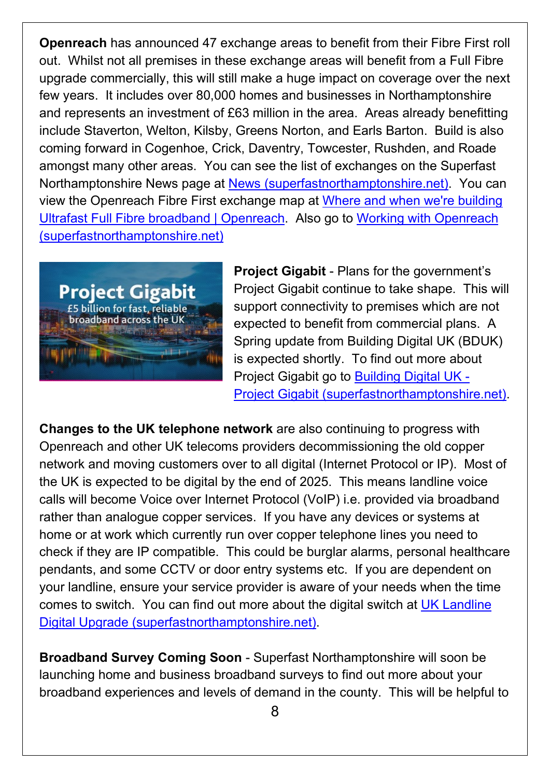**Openreach** has announced 47 exchange areas to benefit from their Fibre First roll out. Whilst not all premises in these exchange areas will benefit from a Full Fibre upgrade commercially, this will still make a huge impact on coverage over the next few years. It includes over 80,000 homes and businesses in Northamptonshire and represents an investment of £63 million in the area. Areas already benefitting include Staverton, Welton, Kilsby, Greens Norton, and Earls Barton. Build is also coming forward in Cogenhoe, Crick, Daventry, Towcester, Rushden, and Roade amongst many other areas. You can see the list of exchanges on the Superfast Northamptonshire News page at [News \(superfastnorthamptonshire.net\).](https://www.superfastnorthamptonshire.net/find-out-more/Pages/news.aspx) You can view the Openreach Fibre First exchange map at [Where and when we're building](https://www.openreach.com/fibre-broadband/where-when-building-ultrafast-full-fibre-broadband)  [Ultrafast Full Fibre broadband | Openreach.](https://www.openreach.com/fibre-broadband/where-when-building-ultrafast-full-fibre-broadband) Also go to [Working with Openreach](https://www.superfastnorthamptonshire.net/how-we-are-delivering/Pages/working-with-bt.aspx)  [\(superfastnorthamptonshire.net\)](https://www.superfastnorthamptonshire.net/how-we-are-delivering/Pages/working-with-bt.aspx)



**Project Gigabit** - Plans for the government's Project Gigabit continue to take shape. This will support connectivity to premises which are not expected to benefit from commercial plans. A Spring update from Building Digital UK (BDUK) is expected shortly. To find out more about Project Gigabit go to [Building Digital UK -](https://www.superfastnorthamptonshire.net/how-we-are-delivering/Pages/building-digital-uk-project-gigabit.aspx)  [Project Gigabit \(superfastnorthamptonshire.net\).](https://www.superfastnorthamptonshire.net/how-we-are-delivering/Pages/building-digital-uk-project-gigabit.aspx)

**Changes to the UK telephone network** are also continuing to progress with Openreach and other UK telecoms providers decommissioning the old copper network and moving customers over to all digital (Internet Protocol or IP). Most of the UK is expected to be digital by the end of 2025. This means landline voice calls will become Voice over Internet Protocol (VoIP) i.e. provided via broadband rather than analogue copper services. If you have any devices or systems at home or at work which currently run over copper telephone lines you need to check if they are IP compatible. This could be burglar alarms, personal healthcare pendants, and some CCTV or door entry systems etc. If you are dependent on your landline, ensure your service provider is aware of your needs when the time comes to switch. You can find out more about the digital switch at [UK Landline](https://www.superfastnorthamptonshire.net/how-we-are-delivering/Pages/uk-landline-digital-upgrade.aspx)  [Digital Upgrade \(superfastnorthamptonshire.net\).](https://www.superfastnorthamptonshire.net/how-we-are-delivering/Pages/uk-landline-digital-upgrade.aspx)

**Broadband Survey Coming Soon** - Superfast Northamptonshire will soon be launching home and business broadband surveys to find out more about your broadband experiences and levels of demand in the county. This will be helpful to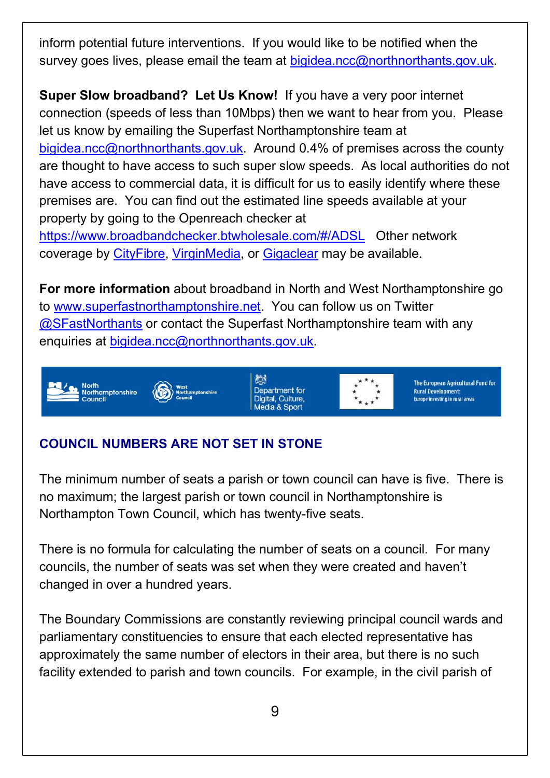inform potential future interventions. If you would like to be notified when the survey goes lives, please email the team at [bigidea.ncc@northnorthants.gov.uk.](mailto:bigidea.ncc@northnorthants.gov.uk)

**Super Slow broadband? Let Us Know!** If you have a very poor internet connection (speeds of less than 10Mbps) then we want to hear from you. Please let us know by emailing the Superfast Northamptonshire team at [bigidea.ncc@northnorthants.gov.uk.](mailto:bigidea.ncc@northnorthants.gov.uk) Around  $0.4\%$  of premises across the county are thought to have access to such super slow speeds. As local authorities do not have access to commercial data, it is difficult for us to easily identify where these premises are. You can find out the estimated line speeds available at your property by going to the Openreach checker at <https://www.broadbandchecker.btwholesale.com/#/ADSL>Other network coverage by [CityFibre,](https://cityfibre.com/homes) [VirginMedia,](https://www.virginmedia.com/broadband) or [Gigaclear](https://www.gigaclear.com/superfast-northamptonshire) may be available.

**For more information** about broadband in North and West Northamptonshire go to [www.superfastnorthamptonshire.net.](http://www.superfastnorthamptonshire.net/) You can follow us on Twitter [@SFastNorthants](https://twitter.com/SFastNorthants) or contact the Superfast Northamptonshire team with any enquiries at [bigidea.ncc@northnorthants.gov.uk.](mailto:bigidea.ncc@northnorthants.gov.uk)



# **COUNCIL NUMBERS ARE NOT SET IN STONE**

The minimum number of seats a parish or town council can have is five. There is no maximum; the largest parish or town council in Northamptonshire is Northampton Town Council, which has twenty-five seats.

There is no formula for calculating the number of seats on a council. For many councils, the number of seats was set when they were created and haven't changed in over a hundred years.

The Boundary Commissions are constantly reviewing principal council wards and parliamentary constituencies to ensure that each elected representative has approximately the same number of electors in their area, but there is no such facility extended to parish and town councils. For example, in the civil parish of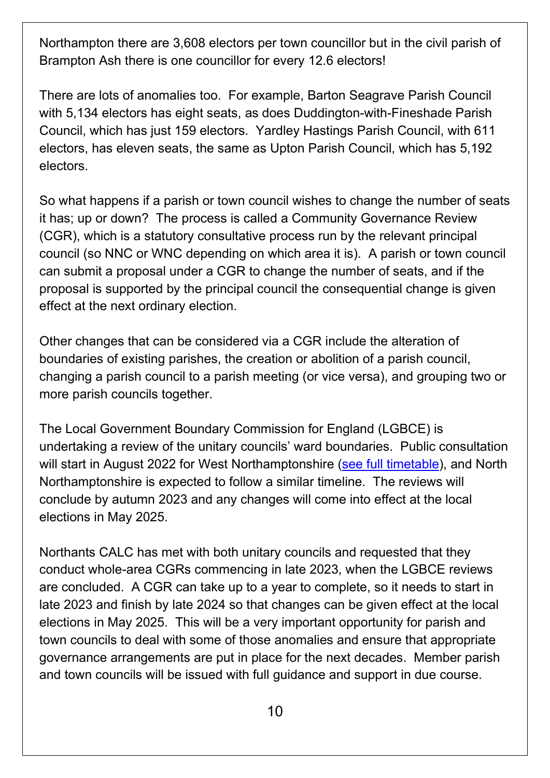Northampton there are 3,608 electors per town councillor but in the civil parish of Brampton Ash there is one councillor for every 12.6 electors!

There are lots of anomalies too. For example, Barton Seagrave Parish Council with 5,134 electors has eight seats, as does Duddington-with-Fineshade Parish Council, which has just 159 electors. Yardley Hastings Parish Council, with 611 electors, has eleven seats, the same as Upton Parish Council, which has 5,192 electors.

So what happens if a parish or town council wishes to change the number of seats it has; up or down? The process is called a Community Governance Review (CGR), which is a statutory consultative process run by the relevant principal council (so NNC or WNC depending on which area it is). A parish or town council can submit a proposal under a CGR to change the number of seats, and if the proposal is supported by the principal council the consequential change is given effect at the next ordinary election.

Other changes that can be considered via a CGR include the alteration of boundaries of existing parishes, the creation or abolition of a parish council, changing a parish council to a parish meeting (or vice versa), and grouping two or more parish councils together.

The Local Government Boundary Commission for England (LGBCE) is undertaking a review of the unitary councils' ward boundaries. Public consultation will start in August 2022 for West Northamptonshire [\(see full timetable\)](https://www.lgbce.org.uk/all-reviews/east-midlands/northamptonshire/west-northamptonshire), and North Northamptonshire is expected to follow a similar timeline. The reviews will conclude by autumn 2023 and any changes will come into effect at the local elections in May 2025.

Northants CALC has met with both unitary councils and requested that they conduct whole-area CGRs commencing in late 2023, when the LGBCE reviews are concluded. A CGR can take up to a year to complete, so it needs to start in late 2023 and finish by late 2024 so that changes can be given effect at the local elections in May 2025. This will be a very important opportunity for parish and town councils to deal with some of those anomalies and ensure that appropriate governance arrangements are put in place for the next decades. Member parish and town councils will be issued with full guidance and support in due course.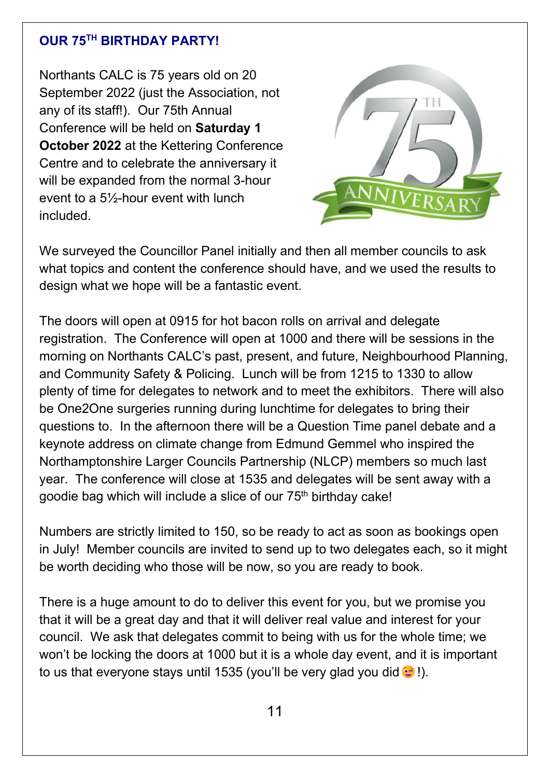#### **OUR 75TH BIRTHDAY PARTY!**

Northants CALC is 75 years old on 20 September 2022 (just the Association, not any of its staff!). Our 75th Annual Conference will be held on **Saturday 1 October 2022** at the Kettering Conference Centre and to celebrate the anniversary it will be expanded from the normal 3-hour event to a 5½-hour event with lunch included.



We surveyed the Councillor Panel initially and then all member councils to ask what topics and content the conference should have, and we used the results to design what we hope will be a fantastic event.

The doors will open at 0915 for hot bacon rolls on arrival and delegate registration. The Conference will open at 1000 and there will be sessions in the morning on Northants CALC's past, present, and future, Neighbourhood Planning, and Community Safety & Policing. Lunch will be from 1215 to 1330 to allow plenty of time for delegates to network and to meet the exhibitors. There will also be One2One surgeries running during lunchtime for delegates to bring their questions to. In the afternoon there will be a Question Time panel debate and a keynote address on climate change from Edmund Gemmel who inspired the Northamptonshire Larger Councils Partnership (NLCP) members so much last year. The conference will close at 1535 and delegates will be sent away with a goodie bag which will include a slice of our 75<sup>th</sup> birthday cake!

Numbers are strictly limited to 150, so be ready to act as soon as bookings open in July! Member councils are invited to send up to two delegates each, so it might be worth deciding who those will be now, so you are ready to book.

There is a huge amount to do to deliver this event for you, but we promise you that it will be a great day and that it will deliver real value and interest for your council. We ask that delegates commit to being with us for the whole time; we won't be locking the doors at 1000 but it is a whole day event, and it is important to us that everyone stays until 1535 (you'll be very glad you did  $\odot$ !).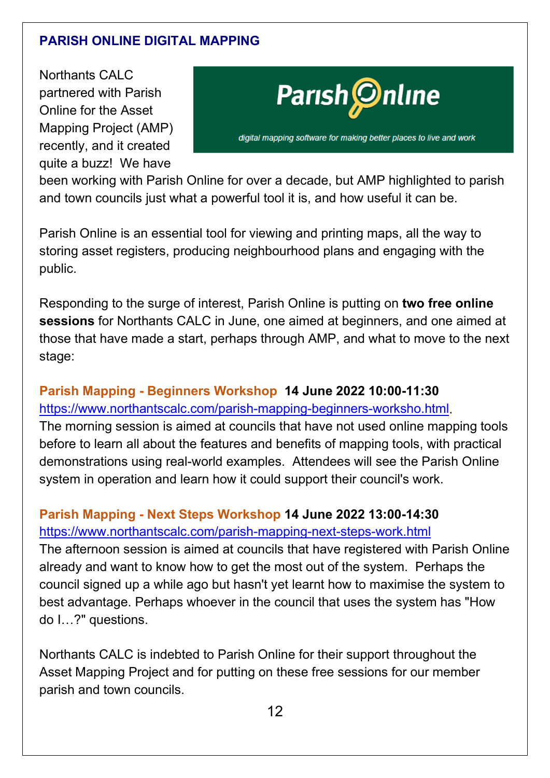## **PARISH ONLINE DIGITAL MAPPING**

Northants CALC partnered with Parish Online for the Asset Mapping Project (AMP) recently, and it created quite a buzz! We have



been working with Parish Online for over a decade, but AMP highlighted to parish and town councils just what a powerful tool it is, and how useful it can be.

Parish Online is an essential tool for viewing and printing maps, all the way to storing asset registers, producing neighbourhood plans and engaging with the public.

Responding to the surge of interest, Parish Online is putting on **two free online sessions** for Northants CALC in June, one aimed at beginners, and one aimed at those that have made a start, perhaps through AMP, and what to move to the next stage:

**Parish Mapping - Beginners Workshop 14 June 2022 10:00-11:30** [https://www.northantscalc.com/parish-mapping-beginners-worksho.html.](https://www.northantscalc.com/parish-mapping-beginners-worksho.html) The morning session is aimed at councils that have not used online mapping tools before to learn all about the features and benefits of mapping tools, with practical demonstrations using real-world examples. Attendees will see the Parish Online system in operation and learn how it could support their council's work.

## **Parish Mapping - Next Steps Workshop 14 June 2022 13:00-14:30**

<https://www.northantscalc.com/parish-mapping-next-steps-work.html>

The afternoon session is aimed at councils that have registered with Parish Online already and want to know how to get the most out of the system. Perhaps the council signed up a while ago but hasn't yet learnt how to maximise the system to best advantage. Perhaps whoever in the council that uses the system has "How do I…?" questions.

Northants CALC is indebted to Parish Online for their support throughout the Asset Mapping Project and for putting on these free sessions for our member parish and town councils.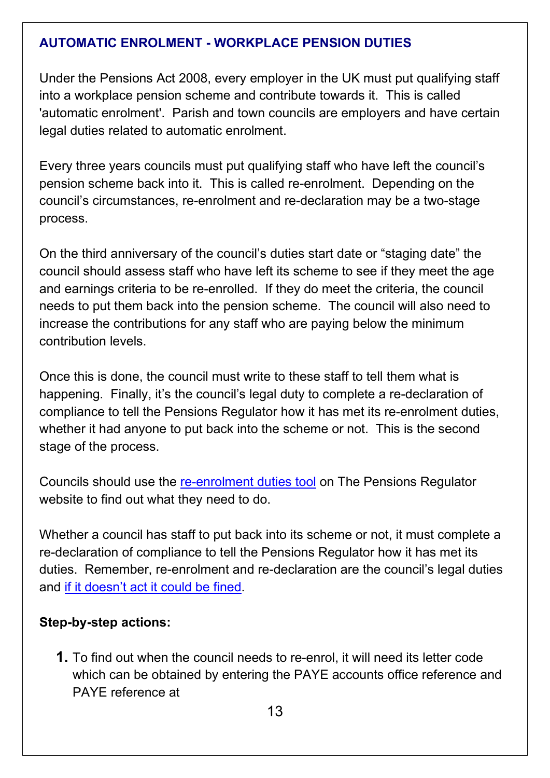#### **AUTOMATIC ENROLMENT - WORKPLACE PENSION DUTIES**

Under the Pensions Act 2008, every employer in the UK must put qualifying staff into a workplace pension scheme and contribute towards it. This is called 'automatic enrolment'. Parish and town councils are employers and have certain legal duties related to automatic enrolment.

Every three years councils must put qualifying staff who have left the council's pension scheme back into it. This is called re-enrolment. Depending on the council's circumstances, re-enrolment and re-declaration may be a two-stage process.

On the third anniversary of the council's duties start date or "staging date" the council should assess staff who have left its scheme to see if they meet the age and earnings criteria to be re-enrolled. If they do meet the criteria, the council needs to put them back into the pension scheme. The council will also need to increase the contributions for any staff who are paying below the minimum contribution levels.

Once this is done, the council must write to these staff to tell them what is happening. Finally, it's the council's legal duty to complete a re-declaration of compliance to tell the Pensions Regulator how it has met its re-enrolment duties, whether it had anyone to put back into the scheme or not. This is the second stage of the process.

Councils should use the [re-enrolment duties tool](https://www.thepensionsregulator.gov.uk/en/employers/re-enrolment) on The Pensions Regulator website to find out what they need to do.

Whether a council has staff to put back into its scheme or not, it must complete a re-declaration of compliance to tell the Pensions Regulator how it has met its duties. Remember, re-enrolment and re-declaration are the council's legal duties and [if it doesn't act it could be fined.](https://www.thepensionsregulator.gov.uk/en/employers/what-happens-if-i-dont-comply)

#### **Step-by-step actions:**

**1.** To find out when the council needs to re-enrol, it will need its letter code which can be obtained by entering the PAYE accounts office reference and PAYE reference at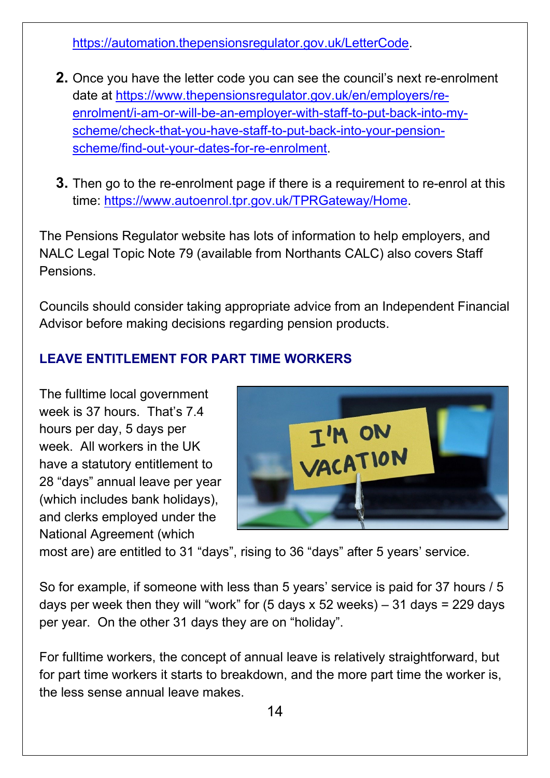[https://automation.thepensionsregulator.gov.uk/LetterCode.](https://automation.thepensionsregulator.gov.uk/LetterCode)

- **2.** Once you have the letter code you can see the council's next re-enrolment date at [https://www.thepensionsregulator.gov.uk/en/employers/re](https://www.thepensionsregulator.gov.uk/en/employers/re-enrolment/i-am-or-will-be-an-employer-with-staff-to-put-back-into-my-scheme/check-that-you-have-staff-to-put-back-into-your-pension-scheme/find-out-your-dates-for-re-enrolment)[enrolment/i-am-or-will-be-an-employer-with-staff-to-put-back-into-my](https://www.thepensionsregulator.gov.uk/en/employers/re-enrolment/i-am-or-will-be-an-employer-with-staff-to-put-back-into-my-scheme/check-that-you-have-staff-to-put-back-into-your-pension-scheme/find-out-your-dates-for-re-enrolment)[scheme/check-that-you-have-staff-to-put-back-into-your-pension](https://www.thepensionsregulator.gov.uk/en/employers/re-enrolment/i-am-or-will-be-an-employer-with-staff-to-put-back-into-my-scheme/check-that-you-have-staff-to-put-back-into-your-pension-scheme/find-out-your-dates-for-re-enrolment)[scheme/find-out-your-dates-for-re-enrolment.](https://www.thepensionsregulator.gov.uk/en/employers/re-enrolment/i-am-or-will-be-an-employer-with-staff-to-put-back-into-my-scheme/check-that-you-have-staff-to-put-back-into-your-pension-scheme/find-out-your-dates-for-re-enrolment)
- **3.** Then go to the re-enrolment page if there is a requirement to re-enrol at this time: [https://www.autoenrol.tpr.gov.uk/TPRGateway/Home.](https://www.autoenrol.tpr.gov.uk/TPRGateway/Home)

The Pensions Regulator website has lots of information to help employers, and NALC Legal Topic Note 79 (available from Northants CALC) also covers Staff Pensions.

Councils should consider taking appropriate advice from an Independent Financial Advisor before making decisions regarding pension products.

## **LEAVE ENTITLEMENT FOR PART TIME WORKERS**

The fulltime local government week is 37 hours. That's 7.4 hours per day, 5 days per week. All workers in the UK have a statutory entitlement to 28 "days" annual leave per year (which includes bank holidays), and clerks employed under the National Agreement (which



most are) are entitled to 31 "days", rising to 36 "days" after 5 years' service.

So for example, if someone with less than 5 years' service is paid for 37 hours / 5 days per week then they will "work" for  $(5 \text{ days} \times 52 \text{ weeks}) - 31 \text{ days} = 229 \text{ days}$ per year. On the other 31 days they are on "holiday".

For fulltime workers, the concept of annual leave is relatively straightforward, but for part time workers it starts to breakdown, and the more part time the worker is, the less sense annual leave makes.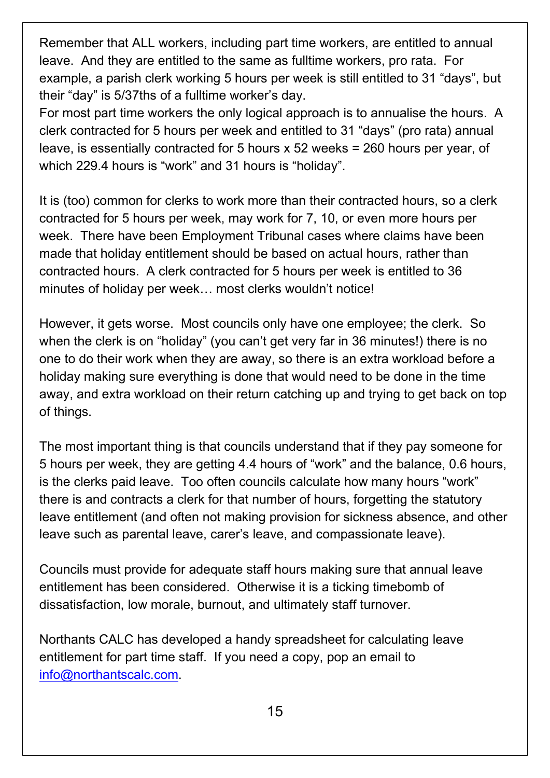Remember that ALL workers, including part time workers, are entitled to annual leave. And they are entitled to the same as fulltime workers, pro rata. For example, a parish clerk working 5 hours per week is still entitled to 31 "days", but their "day" is 5/37ths of a fulltime worker's day.

For most part time workers the only logical approach is to annualise the hours. A clerk contracted for 5 hours per week and entitled to 31 "days" (pro rata) annual leave, is essentially contracted for 5 hours x 52 weeks = 260 hours per year, of which 229.4 hours is "work" and 31 hours is "holiday".

It is (too) common for clerks to work more than their contracted hours, so a clerk contracted for 5 hours per week, may work for 7, 10, or even more hours per week. There have been Employment Tribunal cases where claims have been made that holiday entitlement should be based on actual hours, rather than contracted hours. A clerk contracted for 5 hours per week is entitled to 36 minutes of holiday per week… most clerks wouldn't notice!

However, it gets worse. Most councils only have one employee; the clerk. So when the clerk is on "holiday" (you can't get very far in 36 minutes!) there is no one to do their work when they are away, so there is an extra workload before a holiday making sure everything is done that would need to be done in the time away, and extra workload on their return catching up and trying to get back on top of things.

The most important thing is that councils understand that if they pay someone for 5 hours per week, they are getting 4.4 hours of "work" and the balance, 0.6 hours, is the clerks paid leave. Too often councils calculate how many hours "work" there is and contracts a clerk for that number of hours, forgetting the statutory leave entitlement (and often not making provision for sickness absence, and other leave such as parental leave, carer's leave, and compassionate leave).

Councils must provide for adequate staff hours making sure that annual leave entitlement has been considered. Otherwise it is a ticking timebomb of dissatisfaction, low morale, burnout, and ultimately staff turnover.

Northants CALC has developed a handy spreadsheet for calculating leave entitlement for part time staff. If you need a copy, pop an email to [info@northantscalc.com.](mailto:info@northantscalc.com)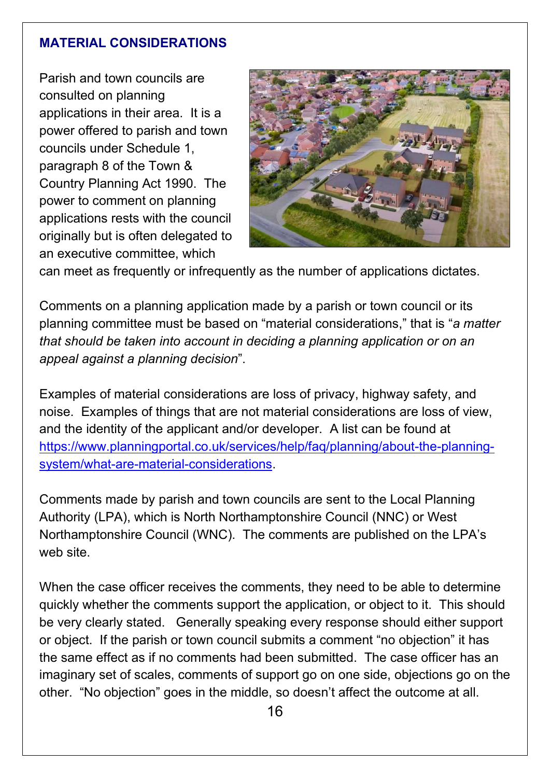#### **MATERIAL CONSIDERATIONS**

Parish and town councils are consulted on planning applications in their area. It is a power offered to parish and town councils under Schedule 1, paragraph 8 of the Town & Country Planning Act 1990. The power to comment on planning applications rests with the council originally but is often delegated to an executive committee, which



can meet as frequently or infrequently as the number of applications dictates.

Comments on a planning application made by a parish or town council or its planning committee must be based on "material considerations," that is "*a matter that should be taken into account in deciding a planning application or on an appeal against a planning decision*".

Examples of material considerations are loss of privacy, highway safety, and noise. Examples of things that are not material considerations are loss of view, and the identity of the applicant and/or developer. A list can be found at [https://www.planningportal.co.uk/services/help/faq/planning/about-the-planning](https://www.planningportal.co.uk/services/help/faq/planning/about-the-planning-system/what-are-material-considerations)[system/what-are-material-considerations.](https://www.planningportal.co.uk/services/help/faq/planning/about-the-planning-system/what-are-material-considerations)

Comments made by parish and town councils are sent to the Local Planning Authority (LPA), which is North Northamptonshire Council (NNC) or West Northamptonshire Council (WNC). The comments are published on the LPA's web site.

When the case officer receives the comments, they need to be able to determine quickly whether the comments support the application, or object to it. This should be very clearly stated. Generally speaking every response should either support or object. If the parish or town council submits a comment "no objection" it has the same effect as if no comments had been submitted. The case officer has an imaginary set of scales, comments of support go on one side, objections go on the other. "No objection" goes in the middle, so doesn't affect the outcome at all.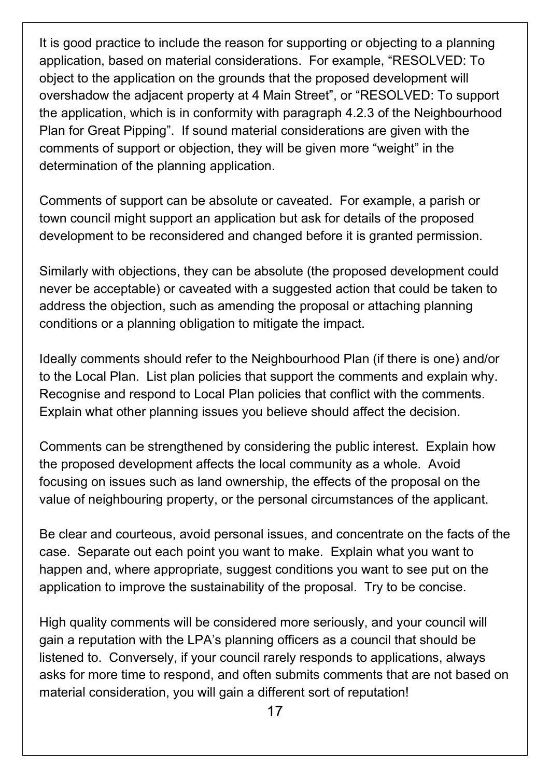It is good practice to include the reason for supporting or objecting to a planning application, based on material considerations. For example, "RESOLVED: To object to the application on the grounds that the proposed development will overshadow the adjacent property at 4 Main Street", or "RESOLVED: To support the application, which is in conformity with paragraph 4.2.3 of the Neighbourhood Plan for Great Pipping". If sound material considerations are given with the comments of support or objection, they will be given more "weight" in the determination of the planning application.

Comments of support can be absolute or caveated. For example, a parish or town council might support an application but ask for details of the proposed development to be reconsidered and changed before it is granted permission.

Similarly with objections, they can be absolute (the proposed development could never be acceptable) or caveated with a suggested action that could be taken to address the objection, such as amending the proposal or attaching planning conditions or a planning obligation to mitigate the impact.

Ideally comments should refer to the Neighbourhood Plan (if there is one) and/or to the Local Plan. List plan policies that support the comments and explain why. Recognise and respond to Local Plan policies that conflict with the comments. Explain what other planning issues you believe should affect the decision.

Comments can be strengthened by considering the public interest. Explain how the proposed development affects the local community as a whole. Avoid focusing on issues such as land ownership, the effects of the proposal on the value of neighbouring property, or the personal circumstances of the applicant.

Be clear and courteous, avoid personal issues, and concentrate on the facts of the case. Separate out each point you want to make. Explain what you want to happen and, where appropriate, suggest conditions you want to see put on the application to improve the sustainability of the proposal. Try to be concise.

High quality comments will be considered more seriously, and your council will gain a reputation with the LPA's planning officers as a council that should be listened to. Conversely, if your council rarely responds to applications, always asks for more time to respond, and often submits comments that are not based on material consideration, you will gain a different sort of reputation!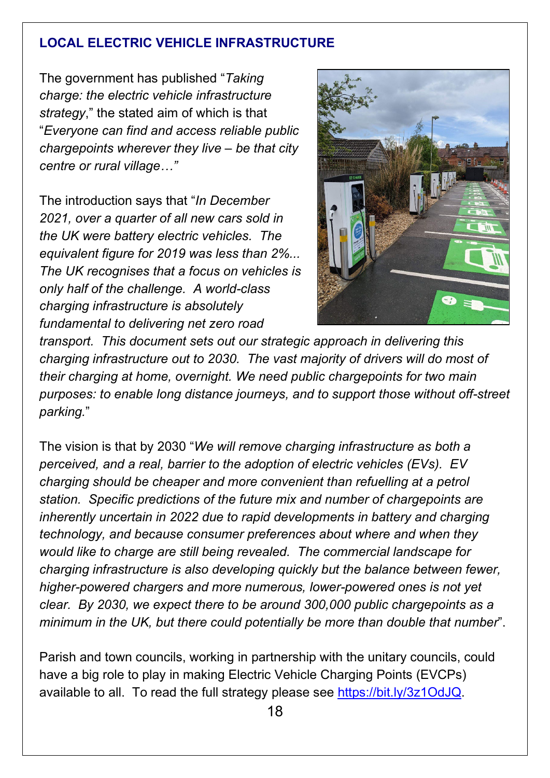#### **LOCAL ELECTRIC VEHICLE INFRASTRUCTURE**

The government has published "*Taking charge: the electric vehicle infrastructure strategy*," the stated aim of which is that "*Everyone can find and access reliable public chargepoints wherever they live – be that city centre or rural village…"*

The introduction says that "*In December 2021, over a quarter of all new cars sold in the UK were battery electric vehicles. The equivalent figure for 2019 was less than 2%... The UK recognises that a focus on vehicles is only half of the challenge. A world-class charging infrastructure is absolutely fundamental to delivering net zero road* 



*transport. This document sets out our strategic approach in delivering this charging infrastructure out to 2030. The vast majority of drivers will do most of their charging at home, overnight. We need public chargepoints for two main purposes: to enable long distance journeys, and to support those without off-street parking.*"

The vision is that by 2030 "*We will remove charging infrastructure as both a perceived, and a real, barrier to the adoption of electric vehicles (EVs). EV charging should be cheaper and more convenient than refuelling at a petrol station. Specific predictions of the future mix and number of chargepoints are inherently uncertain in 2022 due to rapid developments in battery and charging technology, and because consumer preferences about where and when they would like to charge are still being revealed. The commercial landscape for charging infrastructure is also developing quickly but the balance between fewer, higher-powered chargers and more numerous, lower-powered ones is not yet clear. By 2030, we expect there to be around 300,000 public chargepoints as a minimum in the UK, but there could potentially be more than double that number*".

Parish and town councils, working in partnership with the unitary councils, could have a big role to play in making Electric Vehicle Charging Points (EVCPs) available to all. To read the full strategy please see [https://bit.ly/3z1OdJQ.](https://bit.ly/3z1OdJQ)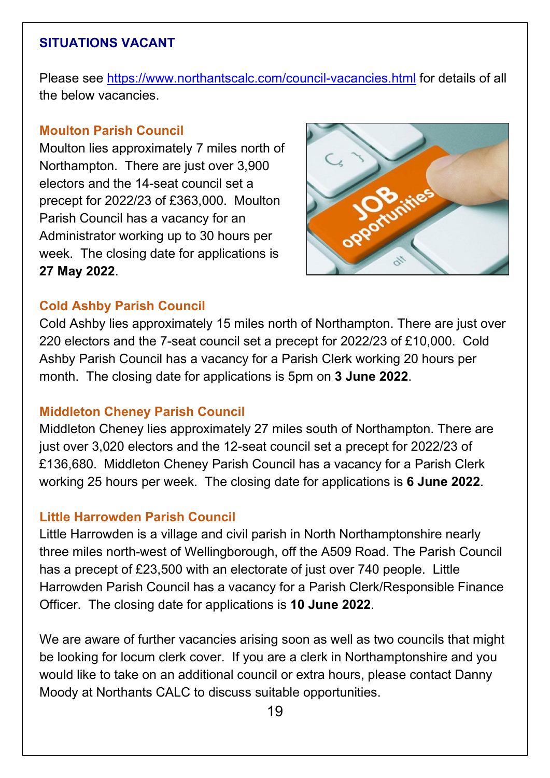#### **SITUATIONS VACANT**

Please see<https://www.northantscalc.com/council-vacancies.html> for details of all the below vacancies.

#### **Moulton Parish Council**

Moulton lies approximately 7 miles north of Northampton. There are just over 3,900 electors and the 14-seat council set a precept for 2022/23 of £363,000. Moulton Parish Council has a vacancy for an Administrator working up to 30 hours per week. The closing date for applications is **27 May 2022**.



#### **Cold Ashby Parish Council**

Cold Ashby lies approximately 15 miles north of Northampton. There are just over 220 electors and the 7-seat council set a precept for 2022/23 of £10,000. Cold Ashby Parish Council has a vacancy for a Parish Clerk working 20 hours per month. The closing date for applications is 5pm on **3 June 2022**.

#### **Middleton Cheney Parish Council**

Middleton Cheney lies approximately 27 miles south of Northampton. There are just over 3,020 electors and the 12-seat council set a precept for 2022/23 of £136,680. Middleton Cheney Parish Council has a vacancy for a Parish Clerk working 25 hours per week. The closing date for applications is **6 June 2022**.

#### **Little Harrowden Parish Council**

Little Harrowden is a village and civil parish in North Northamptonshire nearly three miles north-west of Wellingborough, off the A509 Road. The Parish Council has a precept of £23,500 with an electorate of just over 740 people. Little Harrowden Parish Council has a vacancy for a Parish Clerk/Responsible Finance Officer. The closing date for applications is **10 June 2022**.

We are aware of further vacancies arising soon as well as two councils that might be looking for locum clerk cover. If you are a clerk in Northamptonshire and you would like to take on an additional council or extra hours, please contact Danny Moody at Northants CALC to discuss suitable opportunities.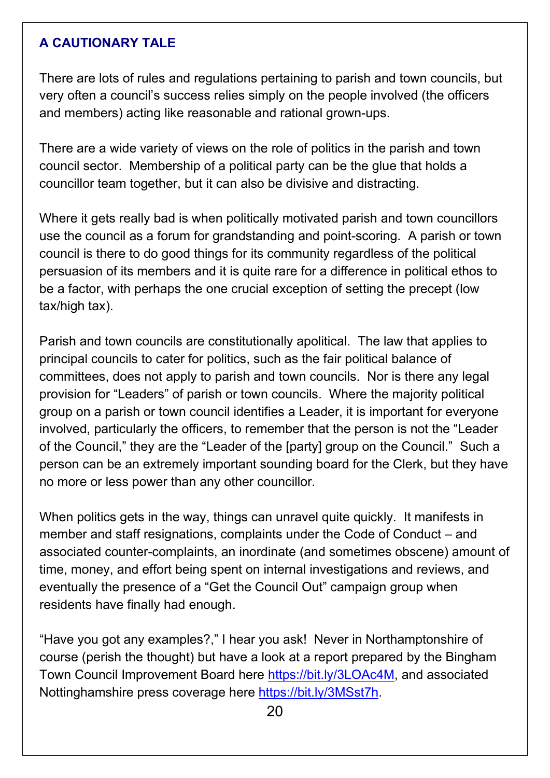#### **A CAUTIONARY TALE**

There are lots of rules and regulations pertaining to parish and town councils, but very often a council's success relies simply on the people involved (the officers and members) acting like reasonable and rational grown-ups.

There are a wide variety of views on the role of politics in the parish and town council sector. Membership of a political party can be the glue that holds a councillor team together, but it can also be divisive and distracting.

Where it gets really bad is when politically motivated parish and town councillors use the council as a forum for grandstanding and point-scoring. A parish or town council is there to do good things for its community regardless of the political persuasion of its members and it is quite rare for a difference in political ethos to be a factor, with perhaps the one crucial exception of setting the precept (low tax/high tax).

Parish and town councils are constitutionally apolitical. The law that applies to principal councils to cater for politics, such as the fair political balance of committees, does not apply to parish and town councils. Nor is there any legal provision for "Leaders" of parish or town councils. Where the majority political group on a parish or town council identifies a Leader, it is important for everyone involved, particularly the officers, to remember that the person is not the "Leader of the Council," they are the "Leader of the [party] group on the Council." Such a person can be an extremely important sounding board for the Clerk, but they have no more or less power than any other councillor.

When politics gets in the way, things can unravel quite quickly. It manifests in member and staff resignations, complaints under the Code of Conduct – and associated counter-complaints, an inordinate (and sometimes obscene) amount of time, money, and effort being spent on internal investigations and reviews, and eventually the presence of a "Get the Council Out" campaign group when residents have finally had enough.

"Have you got any examples?," I hear you ask! Never in Northamptonshire of course (perish the thought) but have a look at a report prepared by the Bingham Town Council Improvement Board here [https://bit.ly/3LOAc4M,](https://bit.ly/3LOAc4M) and associated Nottinghamshire press coverage here [https://bit.ly/3MSst7h.](https://bit.ly/3MSst7h)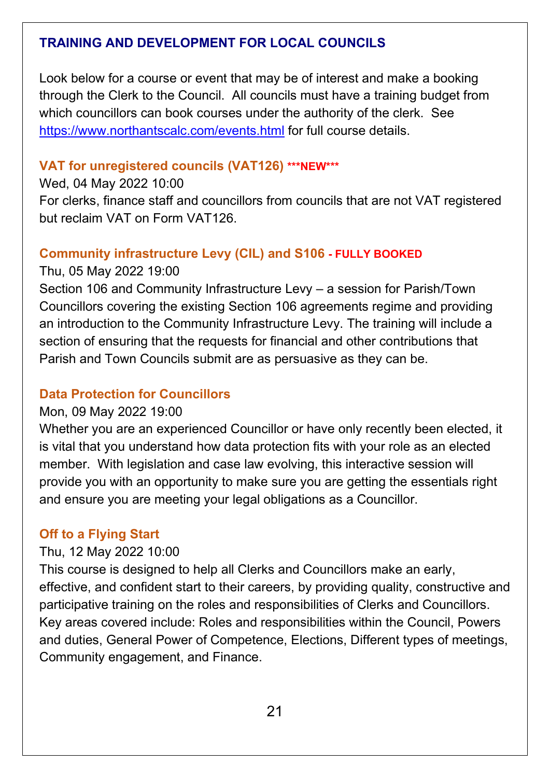## **TRAINING AND DEVELOPMENT FOR LOCAL COUNCILS**

Look below for a course or event that may be of interest and make a booking through the Clerk to the Council. All councils must have a training budget from which councillors can book courses under the authority of the clerk. See <https://www.northantscalc.com/events.html> for full course details.

#### **VAT for unregistered councils (VAT126) \*\*\*NEW\*\*\***

#### Wed, 04 May 2022 10:00

For clerks, finance staff and councillors from councils that are not VAT registered but reclaim VAT on Form VAT126.

#### **Community infrastructure Levy (CIL) and S106 - FULLY BOOKED**

#### Thu, 05 May 2022 19:00

Section 106 and Community Infrastructure Levy – a session for Parish/Town Councillors covering the existing Section 106 agreements regime and providing an introduction to the Community Infrastructure Levy. The training will include a section of ensuring that the requests for financial and other contributions that Parish and Town Councils submit are as persuasive as they can be.

#### **Data Protection for Councillors**

#### Mon, 09 May 2022 19:00

Whether you are an experienced Councillor or have only recently been elected, it is vital that you understand how data protection fits with your role as an elected member. With legislation and case law evolving, this interactive session will provide you with an opportunity to make sure you are getting the essentials right and ensure you are meeting your legal obligations as a Councillor.

#### **Off to a Flying Start**

#### Thu, 12 May 2022 10:00

This course is designed to help all Clerks and Councillors make an early, effective, and confident start to their careers, by providing quality, constructive and participative training on the roles and responsibilities of Clerks and Councillors. Key areas covered include: Roles and responsibilities within the Council, Powers and duties, General Power of Competence, Elections, Different types of meetings, Community engagement, and Finance.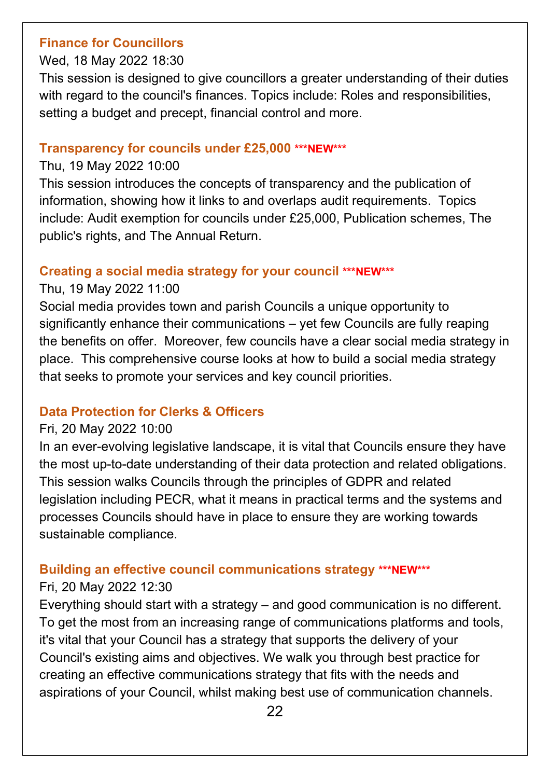#### **Finance for Councillors**

#### Wed, 18 May 2022 18:30

This session is designed to give councillors a greater understanding of their duties with regard to the council's finances. Topics include: Roles and responsibilities, setting a budget and precept, financial control and more.

#### **Transparency for councils under £25,000 \*\*\*NEW\*\*\***

#### Thu, 19 May 2022 10:00

This session introduces the concepts of transparency and the publication of information, showing how it links to and overlaps audit requirements. Topics include: Audit exemption for councils under £25,000, Publication schemes, The public's rights, and The Annual Return.

## **Creating a social media strategy for your council \*\*\*NEW\*\*\***

#### Thu, 19 May 2022 11:00

Social media provides town and parish Councils a unique opportunity to significantly enhance their communications – yet few Councils are fully reaping the benefits on offer. Moreover, few councils have a clear social media strategy in place. This comprehensive course looks at how to build a social media strategy that seeks to promote your services and key council priorities.

## **Data Protection for Clerks & Officers**

#### Fri, 20 May 2022 10:00

In an ever-evolving legislative landscape, it is vital that Councils ensure they have the most up-to-date understanding of their data protection and related obligations. This session walks Councils through the principles of GDPR and related legislation including PECR, what it means in practical terms and the systems and processes Councils should have in place to ensure they are working towards sustainable compliance.

## **Building an effective council communications strategy \*\*\*NEW\*\*\***

## Fri, 20 May 2022 12:30

Everything should start with a strategy – and good communication is no different. To get the most from an increasing range of communications platforms and tools, it's vital that your Council has a strategy that supports the delivery of your Council's existing aims and objectives. We walk you through best practice for creating an effective communications strategy that fits with the needs and aspirations of your Council, whilst making best use of communication channels.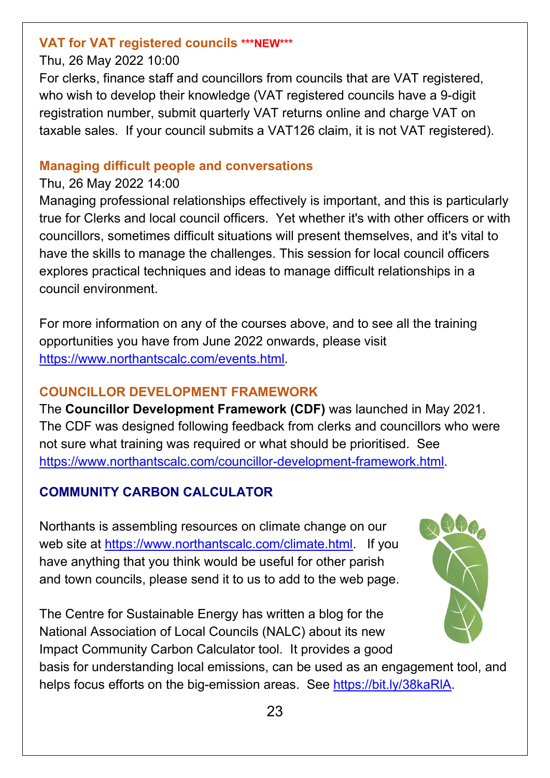#### **VAT for VAT registered councils \*\*\*NEW\*\*\***

#### Thu, 26 May 2022 10:00

For clerks, finance staff and councillors from councils that are VAT registered, who wish to develop their knowledge (VAT registered councils have a 9-digit registration number, submit quarterly VAT returns online and charge VAT on taxable sales. If your council submits a VAT126 claim, it is not VAT registered).

#### **Managing difficult people and conversations**

#### Thu, 26 May 2022 14:00

Managing professional relationships effectively is important, and this is particularly true for Clerks and local council officers. Yet whether it's with other officers or with councillors, sometimes difficult situations will present themselves, and it's vital to have the skills to manage the challenges. This session for local council officers explores practical techniques and ideas to manage difficult relationships in a council environment.

For more information on any of the courses above, and to see all the training opportunities you have from June 2022 onwards, please visit [https://www.northantscalc.com/events.html.](https://www.northantscalc.com/events.html)

## **COUNCILLOR DEVELOPMENT FRAMEWORK**

The **Councillor Development Framework (CDF)** was launched in May 2021. The CDF was designed following feedback from clerks and councillors who were not sure what training was required or what should be prioritised. See [https://www.northantscalc.com/councillor-development-framework.html.](https://www.northantscalc.com/councillor-development-framework.html)

# **COMMUNITY CARBON CALCULATOR**

Northants is assembling resources on climate change on our web site at [https://www.northantscalc.com/climate.html.](https://www.northantscalc.com/climate.html) If you have anything that you think would be useful for other parish and town councils, please send it to us to add to the web page.

The Centre for Sustainable Energy has written a blog for the National Association of Local Councils (NALC) about its new Impact Community Carbon Calculator tool. It provides a good



basis for understanding local emissions, can be used as an engagement tool, and helps focus efforts on the big-emission areas. See https://bit.ly/38kaRIA.